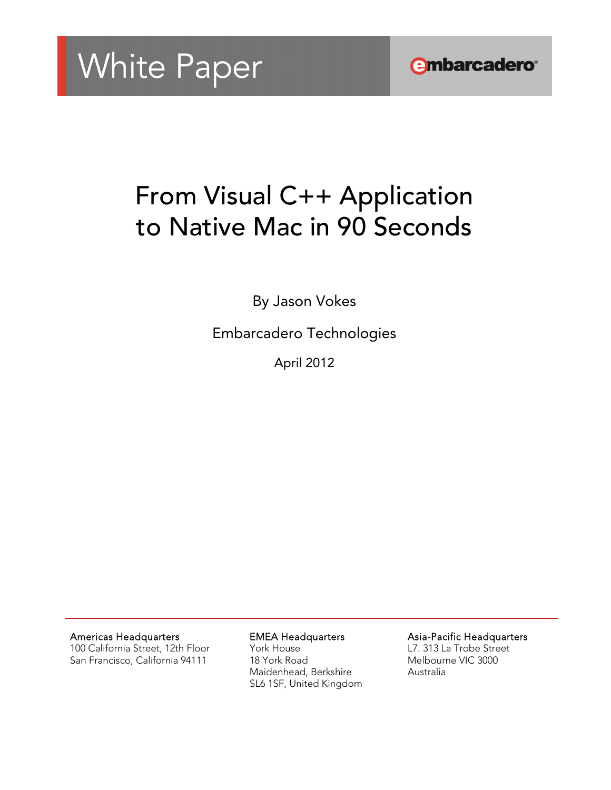

# From Visual C++ Application to Native Mac in 90 Seconds

By Jason Vokes

Embarcadero Technologies

April 2012

Americas Headquarters

100 California Street, 12th Floor San Francisco, California 94111

EMEA Headquarters

York House 18 York Road Maidenhead, Berkshire SL6 1SF, United Kingdom Asia-Pacific Headquarters

L7. 313 La Trobe Street Melbourne VIC 3000 Australia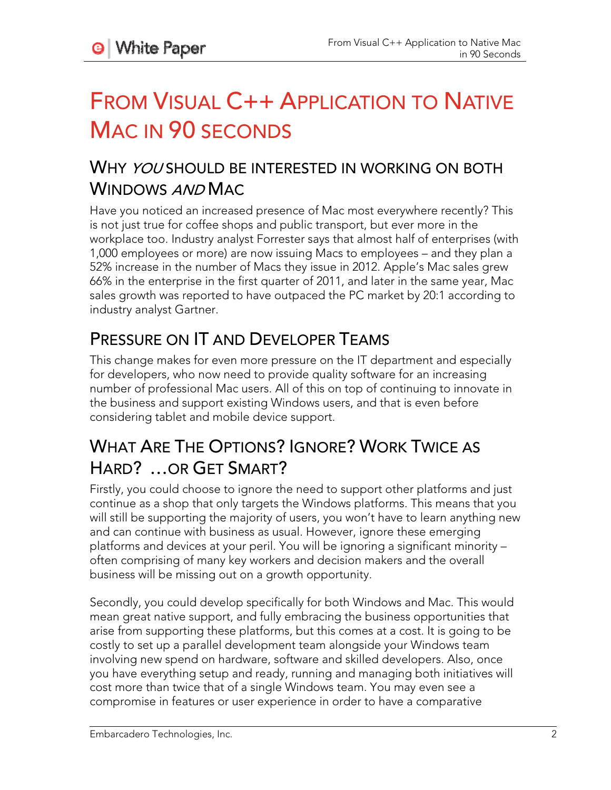# FROM VISUAL C++ APPLICATION TO NATIVE MAC IN 90 SECONDS

## WHY *YOU* SHOULD BE INTERESTED IN WORKING ON BOTH WINDOWS AND MAC

Have you noticed an increased presence of Mac most everywhere recently? This is not just true for coffee shops and public transport, but ever more in the workplace too. Industry analyst Forrester says that almost half of enterprises (with 1,000 employees or more) are now issuing Macs to employees – and they plan a 52% increase in the number of Macs they issue in 2012. Apple's Mac sales grew 66% in the enterprise in the first quarter of 2011, and later in the same year, Mac sales growth was reported to have outpaced the PC market by 20:1 according to industry analyst Gartner.

## PRESSURE ON IT AND DEVELOPER TEAMS

This change makes for even more pressure on the IT department and especially for developers, who now need to provide quality software for an increasing number of professional Mac users. All of this on top of continuing to innovate in the business and support existing Windows users, and that is even before considering tablet and mobile device support.

## WHAT ARE THE OPTIONS? IGNORE? WORK TWICE AS HARD? …OR GET SMART?

Firstly, you could choose to ignore the need to support other platforms and just continue as a shop that only targets the Windows platforms. This means that you will still be supporting the majority of users, you won't have to learn anything new and can continue with business as usual. However, ignore these emerging platforms and devices at your peril. You will be ignoring a significant minority – often comprising of many key workers and decision makers and the overall business will be missing out on a growth opportunity.

Secondly, you could develop specifically for both Windows and Mac. This would mean great native support, and fully embracing the business opportunities that arise from supporting these platforms, but this comes at a cost. It is going to be costly to set up a parallel development team alongside your Windows team involving new spend on hardware, software and skilled developers. Also, once you have everything setup and ready, running and managing both initiatives will cost more than twice that of a single Windows team. You may even see a compromise in features or user experience in order to have a comparative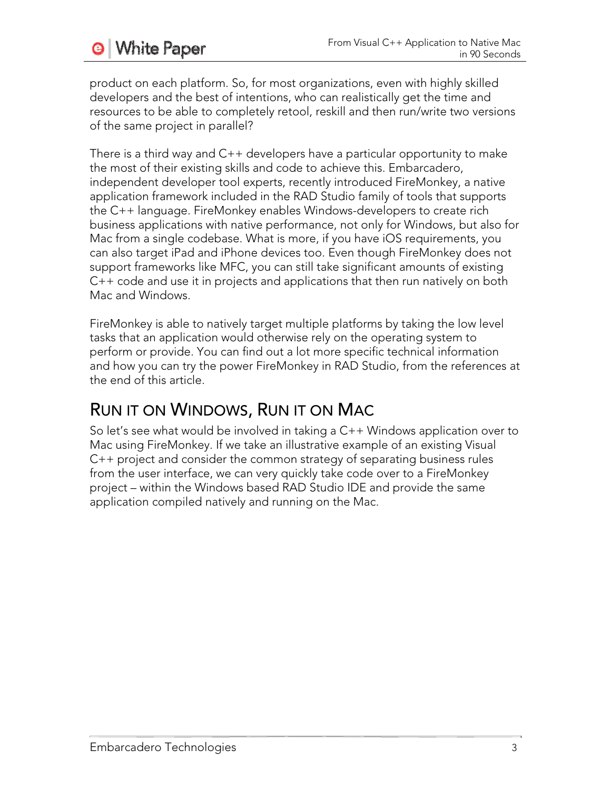product on each platform. So, for most organizations, even with highly skilled developers and the best of intentions, who can realistically get the time and resources to be able to completely retool, reskill and then run/write two versions of the same project in parallel?

There is a third way and C++ developers have a particular opportunity to make the most of their existing skills and code to achieve this. Embarcadero, independent developer tool experts, recently introduced FireMonkey, a native application framework included in the RAD Studio family of tools that supports the C++ language. FireMonkey enables Windows-developers to create rich business applications with native performance, not only for Windows, but also for Mac from a single codebase. What is more, if you have iOS requirements, you can also target iPad and iPhone devices too. Even though FireMonkey does not support frameworks like MFC, you can still take significant amounts of existing C++ code and use it in projects and applications that then run natively on both Mac and Windows.

FireMonkey is able to natively target multiple platforms by taking the low level tasks that an application would otherwise rely on the operating system to perform or provide. You can find out a lot more specific technical information and how you can try the power FireMonkey in RAD Studio, from the references at the end of this article.

## RUN IT ON WINDOWS, RUN IT ON MAC

So let's see what would be involved in taking a C++ Windows application over to Mac using FireMonkey. If we take an illustrative example of an existing Visual C++ project and consider the common strategy of separating business rules from the user interface, we can very quickly take code over to a FireMonkey project – within the Windows based RAD Studio IDE and provide the same application compiled natively and running on the Mac.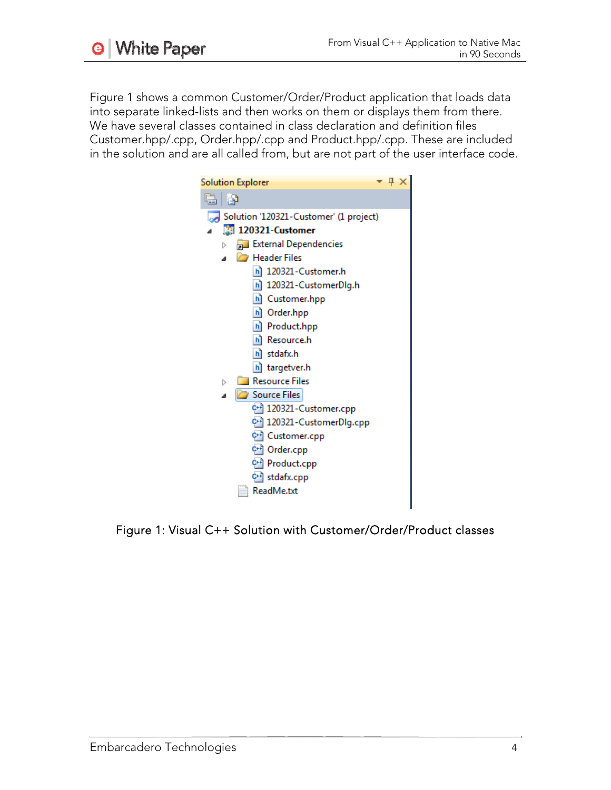Figure 1 shows a common Customer/Order/Product application that loads data into separate linked-lists and then works on them or displays them from there. We have several classes contained in class declaration and definition files Customer.hpp/.cpp, Order.hpp/.cpp and Product.hpp/.cpp. These are included in the solution and are all called from, but are not part of the user interface code.

| <b>Solution Explorer</b>               | $\mathbf{I} \times$ |  |
|----------------------------------------|---------------------|--|
| 19 19                                  |                     |  |
| Solution '120321-Customer' (1 project) |                     |  |
| 图 120321-Customer                      |                     |  |
| External Dependencies<br>Þ             |                     |  |
| Header Files                           |                     |  |
| h] 120321-Customer.h                   |                     |  |
| h] 120321-CustomerDlg.h                |                     |  |
| h] Customer.hpp                        |                     |  |
| h] Order.hpp                           |                     |  |
| h] Product.hpp                         |                     |  |
| hì Resource.h                          |                     |  |
| h] stdafx.h                            |                     |  |
| h] targetver.h                         |                     |  |
| <b>Resource Files</b><br>Þ             |                     |  |
| Source Files<br>4                      |                     |  |
| C+1 120321-Customer.cpp                |                     |  |
| C+1 120321-CustomerDlg.cpp             |                     |  |
| C++ Customer.cpp                       |                     |  |
| C++ Order.cpp                          |                     |  |
| C+1 Product.cpp                        |                     |  |
| C++ stdafx.cpp                         |                     |  |
| ReadMe.txt                             |                     |  |
|                                        |                     |  |

Figure 1: Visual C++ Solution with Customer/Order/Product classes

**9** White Paper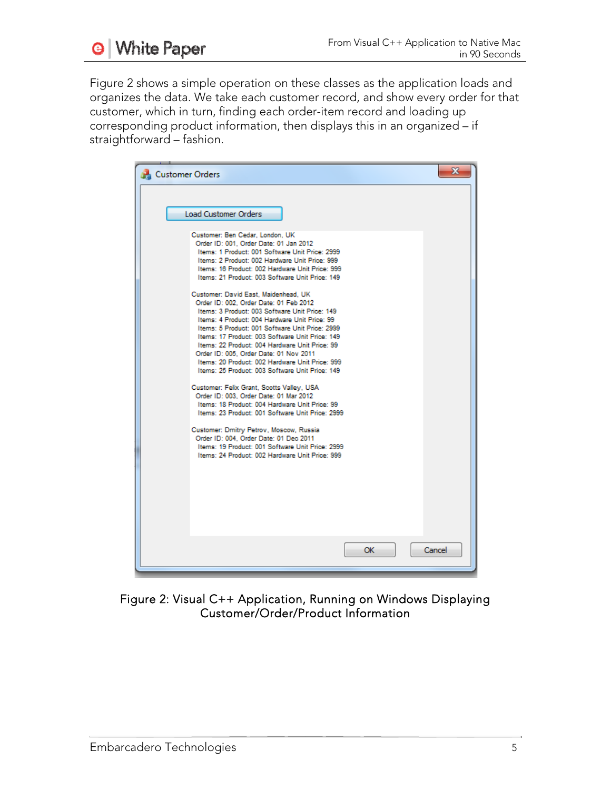

Figure 2 shows a simple operation on these classes as the application loads and organizes the data. We take each customer record, and show every order for that customer, which in turn, finding each order-item record and loading up corresponding product information, then displays this in an organized – if straightforward – fashion.

| Customer Orders                                                                                                                                                                                                                                                                                                                                                                                                                                                                                                                                                                                                                                                                        | x |
|----------------------------------------------------------------------------------------------------------------------------------------------------------------------------------------------------------------------------------------------------------------------------------------------------------------------------------------------------------------------------------------------------------------------------------------------------------------------------------------------------------------------------------------------------------------------------------------------------------------------------------------------------------------------------------------|---|
| <b>Load Customer Orders</b><br>Customer: Ben Cedar, London, UK<br>Order ID: 001. Order Date: 01 Jan 2012<br>Items: 1 Product: 001 Software Unit Price: 2999<br>Items: 2 Product: 002 Hardware Unit Price: 999<br>Items: 16 Product: 002 Hardware Unit Price: 999<br>Items: 21 Product: 003 Software Unit Price: 149                                                                                                                                                                                                                                                                                                                                                                    |   |
| Customer: David East, Maidenhead, UK<br>Order ID: 002. Order Date: 01 Feb 2012<br>Items: 3 Product: 003 Software Unit Price: 149<br>Items: 4 Product: 004 Hardware Unit Price: 99<br>Items: 5 Product: 001 Software Unit Price: 2999<br>Items: 17 Product: 003 Software Unit Price: 149<br>Items: 22 Product: 004 Hardware Unit Price: 99<br>Order ID: 005. Order Date: 01 Nov 2011<br>Items: 20 Product: 002 Hardware Unit Price: 999<br>Items: 25 Product: 003 Software Unit Price: 149<br>Customer: Felix Grant, Scotts Valley, USA<br>Order ID: 003. Order Date: 01 Mar 2012<br>Items: 18 Product: 004 Hardware Unit Price: 99<br>Items: 23 Product: 001 Software Unit Price: 2999 |   |
| Customer: Dmitry Petrov, Moscow, Russia<br>Order ID: 004. Order Date: 01 Dec 2011<br>Items: 19 Product: 001 Software Unit Price: 2999<br>Items: 24 Product: 002 Hardware Unit Price: 999                                                                                                                                                                                                                                                                                                                                                                                                                                                                                               |   |
| OK<br>Cancel                                                                                                                                                                                                                                                                                                                                                                                                                                                                                                                                                                                                                                                                           |   |

Figure 2: Visual C++ Application, Running on Windows Displaying Customer/Order/Product Information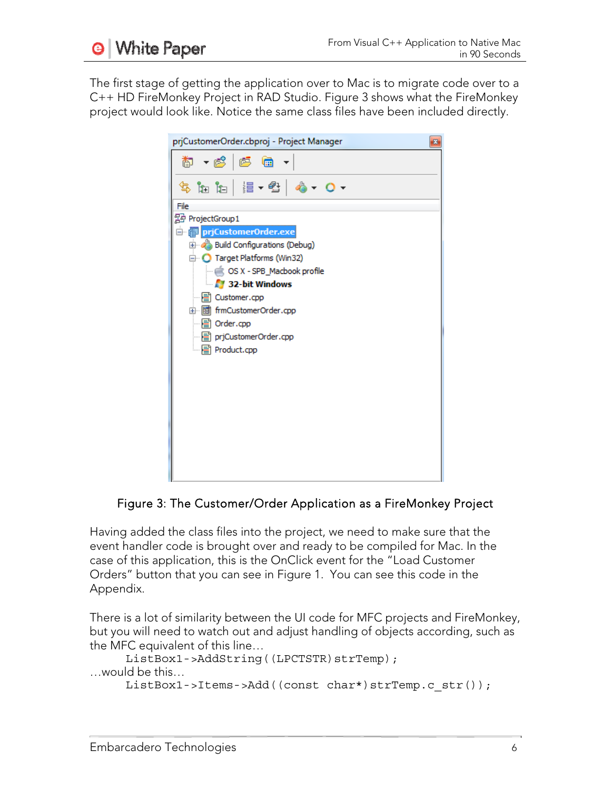

The first stage of getting the application over to Mac is to migrate code over to a C++ HD FireMonkey Project in RAD Studio. Figure 3 shows what the FireMonkey project would look like. Notice the same class files have been included directly.



### Figure 3: The Customer/Order Application as a FireMonkey Project

Having added the class files into the project, we need to make sure that the event handler code is brought over and ready to be compiled for Mac. In the case of this application, this is the OnClick event for the "Load Customer Orders" button that you can see in Figure 1. You can see this code in the Appendix.

There is a lot of similarity between the UI code for MFC projects and FireMonkey, but you will need to watch out and adjust handling of objects according, such as the MFC equivalent of this line…

```
ListBox1->AddString((LPCTSTR)strTemp);
…would be this… 
     ListBox1->Items->Add((const char*)strTemp.c str());
```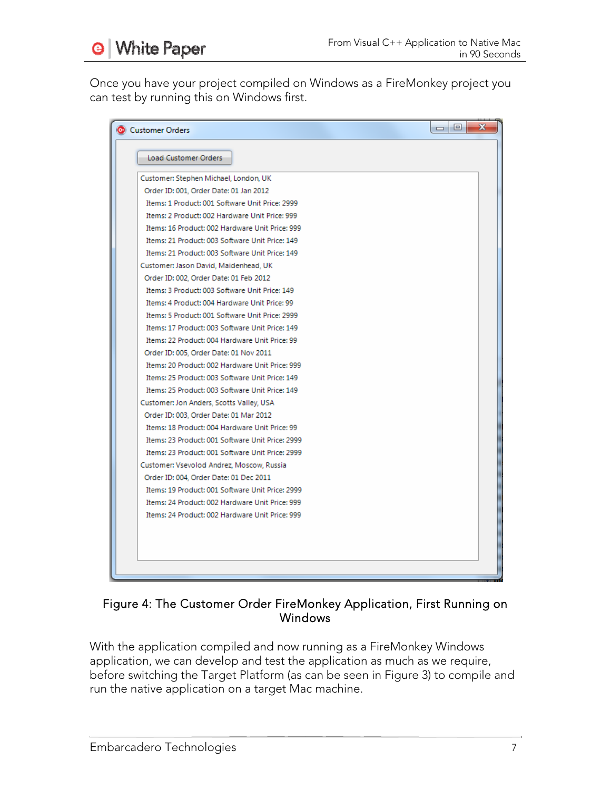**White Paper** ⊌

Once you have your project compiled on Windows as a FireMonkey project you can test by running this on Windows first.

| Customer Orders                                  | o | х |  |
|--------------------------------------------------|---|---|--|
| Load Customer Orders                             |   |   |  |
|                                                  |   |   |  |
| Customer: Stephen Michael, London, UK            |   |   |  |
| Order ID: 001, Order Date: 01 Jan 2012           |   |   |  |
| Items: 1 Product: 001 Software Unit Price: 2999  |   |   |  |
| Items: 2 Product: 002 Hardware Unit Price: 999   |   |   |  |
| Items: 16 Product: 002 Hardware Unit Price: 999  |   |   |  |
| Items: 21 Product: 003 Software Unit Price: 149  |   |   |  |
| Items: 21 Product: 003 Software Unit Price: 149  |   |   |  |
| Customer: Jason David, Maidenhead, UK            |   |   |  |
| Order ID: 002, Order Date: 01 Feb 2012           |   |   |  |
| Items: 3 Product: 003 Software Unit Price: 149   |   |   |  |
| Items: 4 Product: 004 Hardware Unit Price: 99    |   |   |  |
| Items: 5 Product: 001 Software Unit Price: 2999  |   |   |  |
| Items: 17 Product: 003 Software Unit Price: 149  |   |   |  |
| Items: 22 Product: 004 Hardware Unit Price: 99   |   |   |  |
| Order ID: 005, Order Date: 01 Nov 2011           |   |   |  |
| Items: 20 Product: 002 Hardware Unit Price: 999  |   |   |  |
| Items: 25 Product: 003 Software Unit Price: 149  |   |   |  |
| Items: 25 Product: 003 Software Unit Price: 149  |   |   |  |
| Customer: Jon Anders, Scotts Valley, USA         |   |   |  |
| Order ID: 003, Order Date: 01 Mar 2012           |   |   |  |
| Items: 18 Product: 004 Hardware Unit Price: 99   |   |   |  |
| Items: 23 Product: 001 Software Unit Price: 2999 |   |   |  |
| Items: 23 Product: 001 Software Unit Price: 2999 |   |   |  |
| Customer: Vsevolod Andrez, Moscow, Russia        |   |   |  |
| Order ID: 004, Order Date: 01 Dec 2011           |   |   |  |
| Items: 19 Product: 001 Software Unit Price: 2999 |   |   |  |
| Items: 24 Product: 002 Hardware Unit Price: 999  |   |   |  |
| Items: 24 Product: 002 Hardware Unit Price: 999  |   |   |  |
|                                                  |   |   |  |
|                                                  |   |   |  |
|                                                  |   |   |  |
|                                                  |   |   |  |
|                                                  |   |   |  |

### Figure 4: The Customer Order FireMonkey Application, First Running on **Windows**

With the application compiled and now running as a FireMonkey Windows application, we can develop and test the application as much as we require, before switching the Target Platform (as can be seen in Figure 3) to compile and run the native application on a target Mac machine.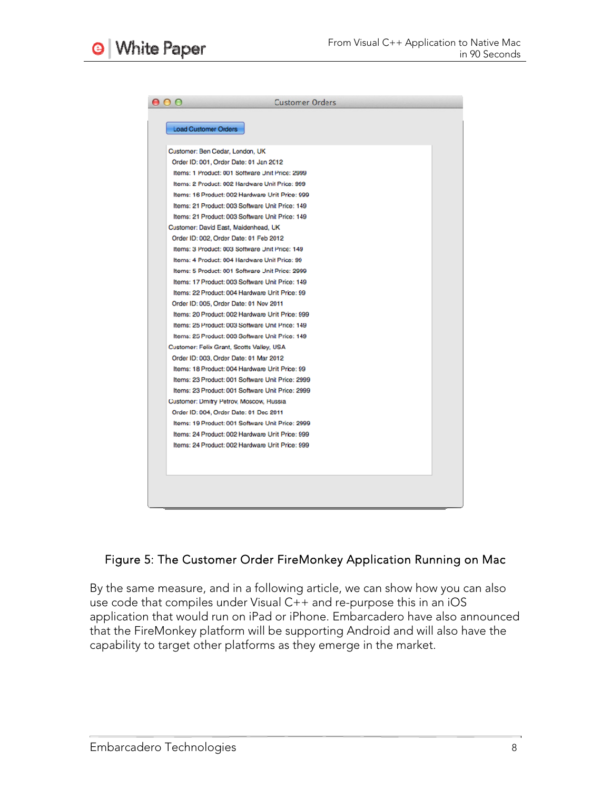

### Figure 5: The Customer Order FireMonkey Application Running on Mac

By the same measure, and in a following article, we can show how you can also use code that compiles under Visual C++ and re-purpose this in an iOS application that would run on iPad or iPhone. Embarcadero have also announced that the FireMonkey platform will be supporting Android and will also have the capability to target other platforms as they emerge in the market.